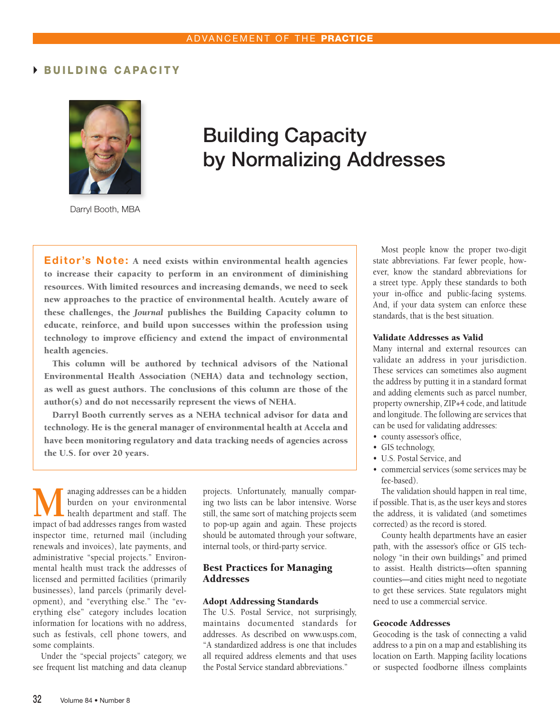## BUILDING CAPACITY



# Building Capacity by Normalizing Addresses

Darryl Booth, MBA

Editor's Note: A need exists within environmental health agencies to increase their capacity to perform in an environment of diminishing resources. With limited resources and increasing demands, we need to seek new approaches to the practice of environmental health. Acutely aware of these challenges, the *Journal* publishes the Building Capacity column to educate, reinforce, and build upon successes within the profession using technology to improve efficiency and extend the impact of environmental health agencies.

This column will be authored by technical advisors of the National Environmental Health Association (NEHA) data and technology section, as well as guest authors. The conclusions of this column are those of the author(s) and do not necessarily represent the views of NEHA.

Darryl Booth currently serves as a NEHA technical advisor for data and technology. He is the general manager of environmental health at Accela and have been monitoring regulatory and data tracking needs of agencies across the U.S. for over 20 years.

**M**anaging addresses can be a hidden<br>
health department and staff. The<br>
impact of had addresses ranges from wasted burden on your environmental impact of bad addresses ranges from wasted inspector time, returned mail (including renewals and invoices), late payments, and administrative "special projects." Environmental health must track the addresses of licensed and permitted facilities (primarily businesses), land parcels (primarily development), and "everything else." The "everything else" category includes location information for locations with no address, such as festivals, cell phone towers, and some complaints.

Under the "special projects" category, we see frequent list matching and data cleanup

projects. Unfortunately, manually comparing two lists can be labor intensive. Worse still, the same sort of matching projects seem to pop-up again and again. These projects should be automated through your software, internal tools, or third-party service.

#### Best Practices for Managing Addresses

#### Adopt Addressing Standards

The U.S. Postal Service, not surprisingly, maintains documented standards for addresses. As described on www.usps.com, "A standardized address is one that includes all required address elements and that uses the Postal Service standard abbreviations."

Most people know the proper two-digit state abbreviations. Far fewer people, however, know the standard abbreviations for a street type. Apply these standards to both your in-office and public-facing systems. And, if your data system can enforce these standards, that is the best situation.

#### Validate Addresses as Valid

Many internal and external resources can validate an address in your jurisdiction. These services can sometimes also augment the address by putting it in a standard format and adding elements such as parcel number, property ownership, ZIP+4 code, and latitude and longitude. The following are services that can be used for validating addresses:

- county assessor's office,
- GIS technology,
- U.S. Postal Service, and
- commercial services (some services may be fee-based).

The validation should happen in real time, if possible. That is, as the user keys and stores the address, it is validated (and sometimes corrected) as the record is stored.

County health departments have an easier path, with the assessor's office or GIS technology "in their own buildings" and primed to assist. Health districts—often spanning counties—and cities might need to negotiate to get these services. State regulators might need to use a commercial service.

#### Geocode Addresses

Geocoding is the task of connecting a valid address to a pin on a map and establishing its location on Earth. Mapping facility locations or suspected foodborne illness complaints